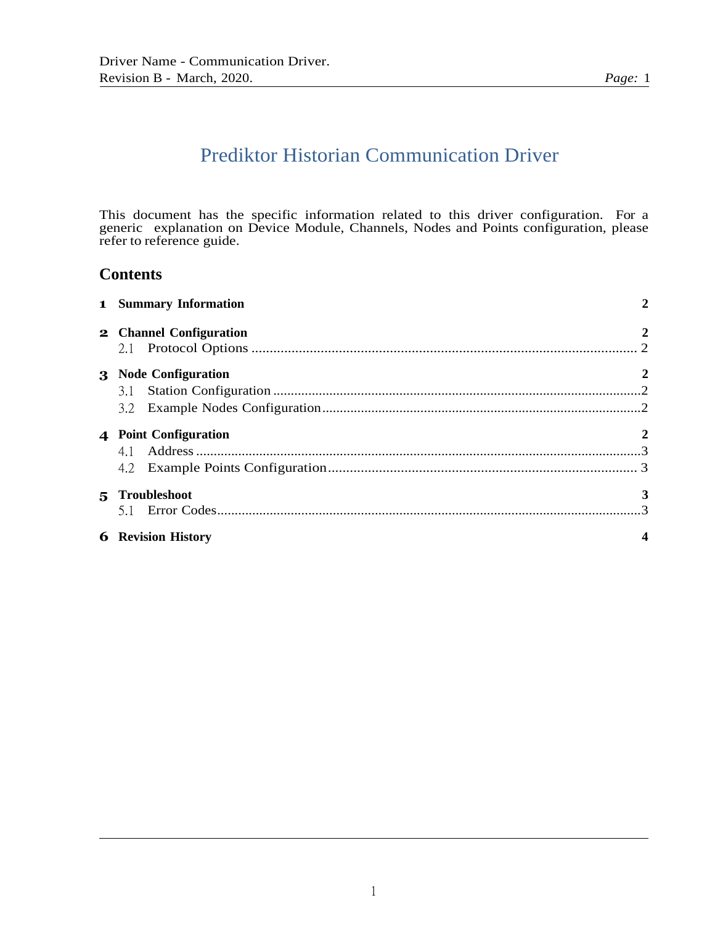# Prediktor Historian Communication Driver

This document has the specific information related to this driver configuration. For a generic explanation on Device Module, Channels, Nodes and Points configuration, please refer to reference guide.

# **Contents**

| <b>1</b> Summary Information | $\overline{2}$   |
|------------------------------|------------------|
| 2 Channel Configuration      | $\boldsymbol{2}$ |
| 3 Node Configuration         | $\boldsymbol{2}$ |
| 4 Point Configuration        | $\boldsymbol{2}$ |
| 5 Troubleshoot               | 3                |
| <b>6</b> Revision History    |                  |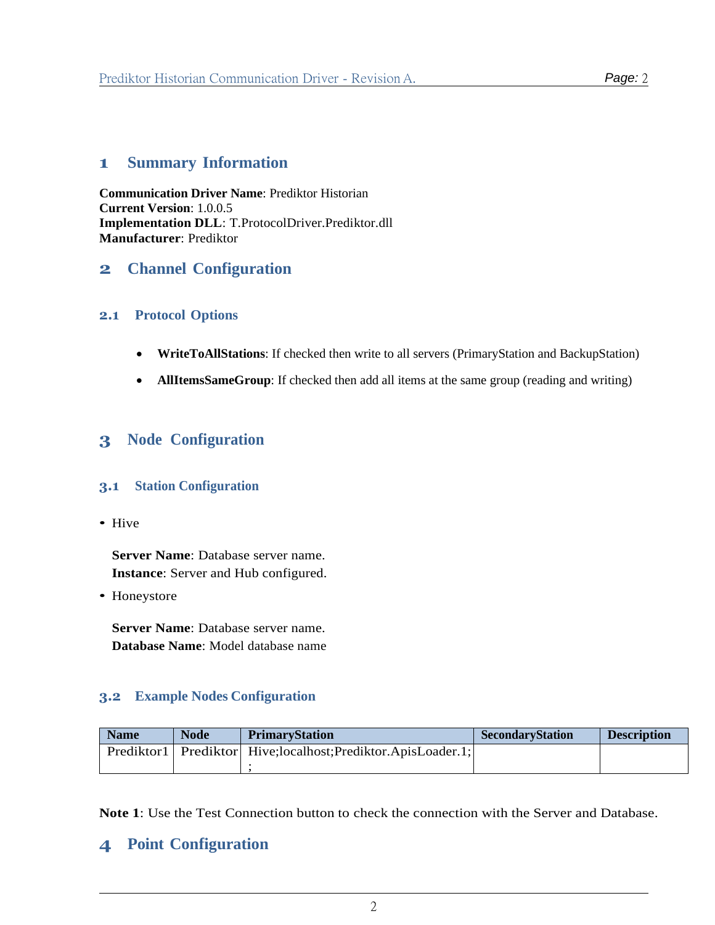# <span id="page-1-0"></span>**1 Summary Information**

**Communication Driver Name**: Prediktor Historian **Current Version**: 1.0.0.5 **Implementation DLL**: T.ProtocolDriver.Prediktor.dll **Manufacturer**: Prediktor

# <span id="page-1-1"></span>**2 Channel Configuration**

#### <span id="page-1-2"></span>**2.1 Protocol Options**

- **WriteToAllStations**: If checked then write to all servers (PrimaryStation and BackupStation)
- **AllItemsSameGroup**: If checked then add all items at the same group (reading and writing)

# **3 Node Configuration**

#### <span id="page-1-3"></span>**3.1 Station Configuration**

*•* Hive

**Server Name**: Database server name. **Instance**: Server and Hub configured.

*•* Honeystore

**Server Name**: Database server name. **Database Name**: Model database name

### <span id="page-1-4"></span>**3.2 Example Nodes Configuration**

| <b>Name</b> | <b>Node</b> | <b>PrimaryStation</b>                                               | <b>SecondaryStation</b> | <b>Description</b> |
|-------------|-------------|---------------------------------------------------------------------|-------------------------|--------------------|
|             |             | Prediktor1   Prediktor   Hive; localhost; Prediktor. ApisLoader. 1; |                         |                    |
|             |             |                                                                     |                         |                    |

**Note 1**: Use the Test Connection button to check the connection with the Server and Database.

# <span id="page-1-5"></span>**4 Point Configuration**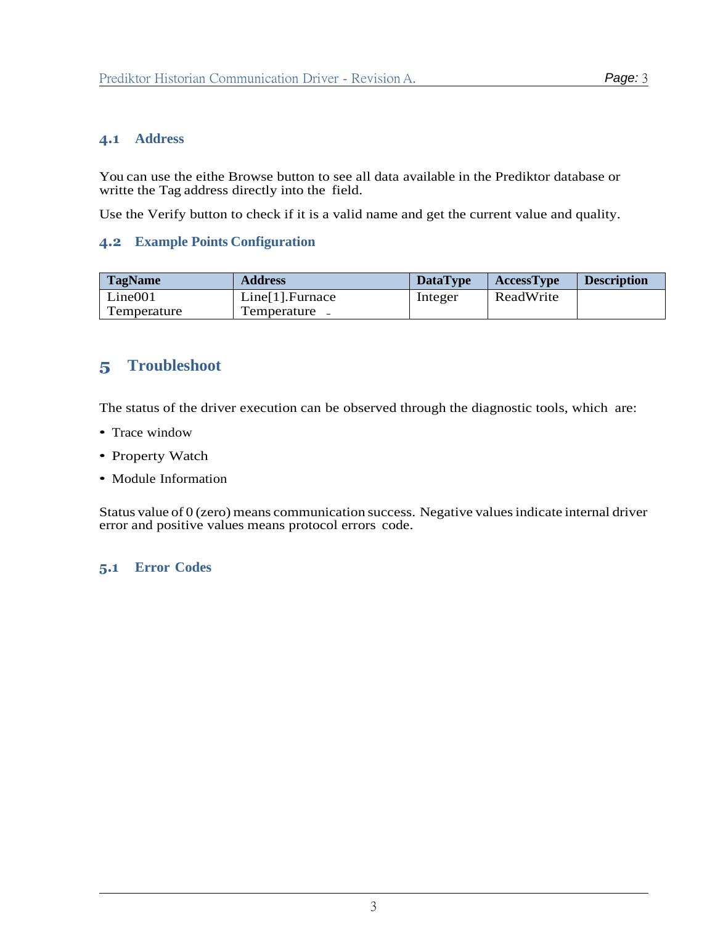#### <span id="page-2-0"></span>**4.1 Address**

You can use the eithe Browse button to see all data available in the Prediktor database or writte the Tag address directly into the field.

Use the Verify button to check if it is a valid name and get the current value and quality.

#### <span id="page-2-1"></span>**4.2 Example Points Configuration**

| <b>TagName</b> | <b>Address</b>     | <b>DataType</b> | <b>AccessType</b> | <b>Description</b> |
|----------------|--------------------|-----------------|-------------------|--------------------|
| Line 001       | $Line[1].$ Furnace | Integer         | ReadWrite         |                    |
| Temperature    | Temperature -      |                 |                   |                    |

# <span id="page-2-2"></span>**5 Troubleshoot**

The status of the driver execution can be observed through the diagnostic tools, which are:

- *•* Trace window
- *•* Property Watch
- *•* Module Information

Status value of 0 (zero) means communication success. Negative valuesindicate internal driver error and positive values means protocol errors code.

#### <span id="page-2-3"></span>**5.1 Error Codes**